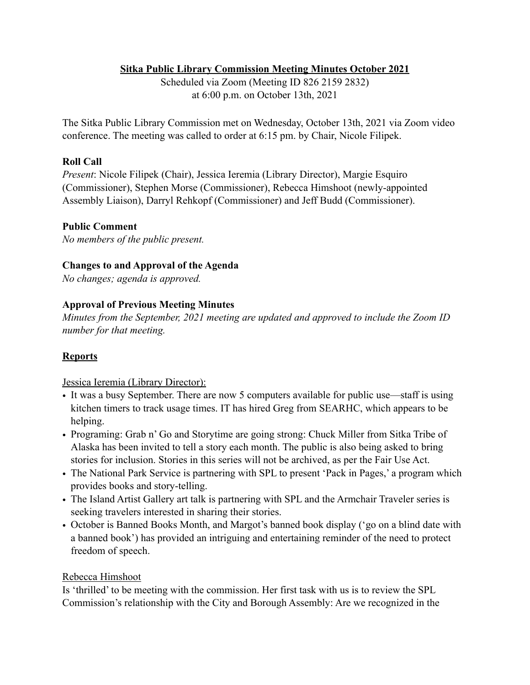## **Sitka Public Library Commission Meeting Minutes October 2021**

Scheduled via Zoom (Meeting ID 826 2159 2832) at 6:00 p.m. on October 13th, 2021

The Sitka Public Library Commission met on Wednesday, October 13th, 2021 via Zoom video conference. The meeting was called to order at 6:15 pm. by Chair, Nicole Filipek.

## **Roll Call**

*Present*: Nicole Filipek (Chair), Jessica Ieremia (Library Director), Margie Esquiro (Commissioner), Stephen Morse (Commissioner), Rebecca Himshoot (newly-appointed Assembly Liaison), Darryl Rehkopf (Commissioner) and Jeff Budd (Commissioner).

#### **Public Comment**

*No members of the public present.* 

#### **Changes to and Approval of the Agenda**

*No changes; agenda is approved.* 

## **Approval of Previous Meeting Minutes**

*Minutes from the September, 2021 meeting are updated and approved to include the Zoom ID number for that meeting.* 

## **Reports**

Jessica Ieremia (Library Director):

- It was a busy September. There are now 5 computers available for public use—staff is using kitchen timers to track usage times. IT has hired Greg from SEARHC, which appears to be helping.
- Programing: Grab n' Go and Storytime are going strong: Chuck Miller from Sitka Tribe of Alaska has been invited to tell a story each month. The public is also being asked to bring stories for inclusion. Stories in this series will not be archived, as per the Fair Use Act.
- The National Park Service is partnering with SPL to present 'Pack in Pages,' a program which provides books and story-telling.
- The Island Artist Gallery art talk is partnering with SPL and the Armchair Traveler series is seeking travelers interested in sharing their stories.
- October is Banned Books Month, and Margot's banned book display ('go on a blind date with a banned book') has provided an intriguing and entertaining reminder of the need to protect freedom of speech.

## Rebecca Himshoot

Is 'thrilled' to be meeting with the commission. Her first task with us is to review the SPL Commission's relationship with the City and Borough Assembly: Are we recognized in the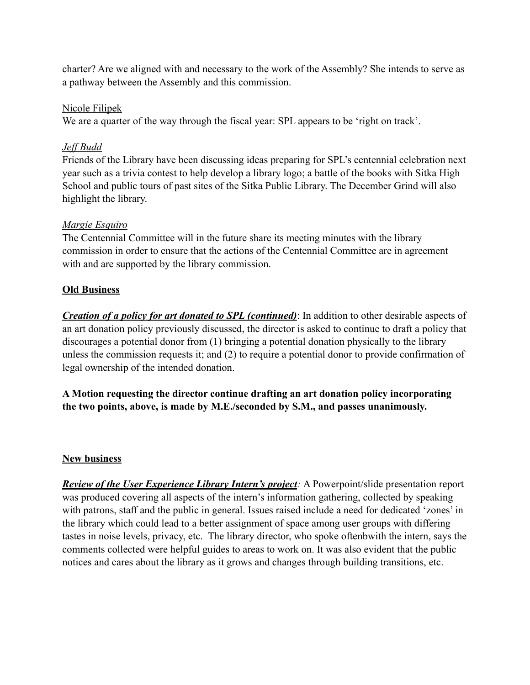charter? Are we aligned with and necessary to the work of the Assembly? She intends to serve as a pathway between the Assembly and this commission.

#### Nicole Filipek

We are a quarter of the way through the fiscal year: SPL appears to be 'right on track'.

## *Jeff Budd*

Friends of the Library have been discussing ideas preparing for SPL's centennial celebration next year such as a trivia contest to help develop a library logo; a battle of the books with Sitka High School and public tours of past sites of the Sitka Public Library. The December Grind will also highlight the library.

## *Margie Esquiro*

The Centennial Committee will in the future share its meeting minutes with the library commission in order to ensure that the actions of the Centennial Committee are in agreement with and are supported by the library commission.

# **Old Business**

*Creation of a policy for art donated to SPL (continued)*: In addition to other desirable aspects of an art donation policy previously discussed, the director is asked to continue to draft a policy that discourages a potential donor from (1) bringing a potential donation physically to the library unless the commission requests it; and (2) to require a potential donor to provide confirmation of legal ownership of the intended donation.

**A Motion requesting the director continue drafting an art donation policy incorporating the two points, above, is made by M.E./seconded by S.M., and passes unanimously.**

## **New business**

*Review of the User Experience Library Intern's project:* A Powerpoint/slide presentation report was produced covering all aspects of the intern's information gathering, collected by speaking with patrons, staff and the public in general. Issues raised include a need for dedicated 'zones' in the library which could lead to a better assignment of space among user groups with differing tastes in noise levels, privacy, etc. The library director, who spoke oftenbwith the intern, says the comments collected were helpful guides to areas to work on. It was also evident that the public notices and cares about the library as it grows and changes through building transitions, etc.